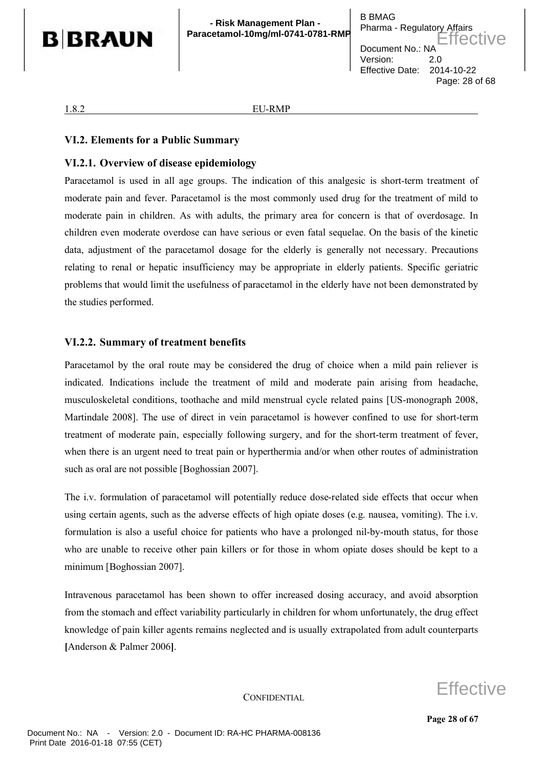

#### 1.8.2 EU-RMP

## **VI.2. Elements for a Public Summary**

## **VI.2.1. Overview of disease epidemiology**

Paracetamol is used in all age groups. The indication of this analgesic is short-term treatment of moderate pain and fever. Paracetamol is the most commonly used drug for the treatment of mild to moderate pain in children. As with adults, the primary area for concern is that of overdosage. In children even moderate overdose can have serious or even fatal sequelae. On the basis of the kinetic data, adjustment of the paracetamol dosage for the elderly is generally not necessary. Precautions relating to renal or hepatic insufficiency may be appropriate in elderly patients. Specific geriatric problems that would limit the usefulness of paracetamol in the elderly have not been demonstrated by the studies performed.

## **VI.2.2. Summary of treatment benefits**

Paracetamol by the oral route may be considered the drug of choice when a mild pain reliever is indicated. Indications include the treatment of mild and moderate pain arising from headache, musculoskeletal conditions, toothache and mild menstrual cycle related pains [US-monograph 2008, Martindale 2008]. The use of direct in vein paracetamol is however confined to use for short-term treatment of moderate pain, especially following surgery, and for the short-term treatment of fever, when there is an urgent need to treat pain or hyperthermia and/or when other routes of administration such as oral are not possible [Boghossian 2007].

The i.v. formulation of paracetamol will potentially reduce dose-related side effects that occur when using certain agents, such as the adverse effects of high opiate doses (e.g. nausea, vomiting). The i.v. formulation is also a useful choice for patients who have a prolonged nil-by-mouth status, for those who are unable to receive other pain killers or for those in whom opiate doses should be kept to a minimum [Boghossian 2007].

Intravenous paracetamol has been shown to offer increased dosing accuracy, and avoid absorption from the stomach and effect variability particularly in children for whom unfortunately, the drug effect knowledge of pain killer agents remains neglected and is usually extrapolated from adult counterparts **[**Anderson & Palmer 2006**]**.

**CONFIDENTIAL** 

Effective

**Page 28 of 67**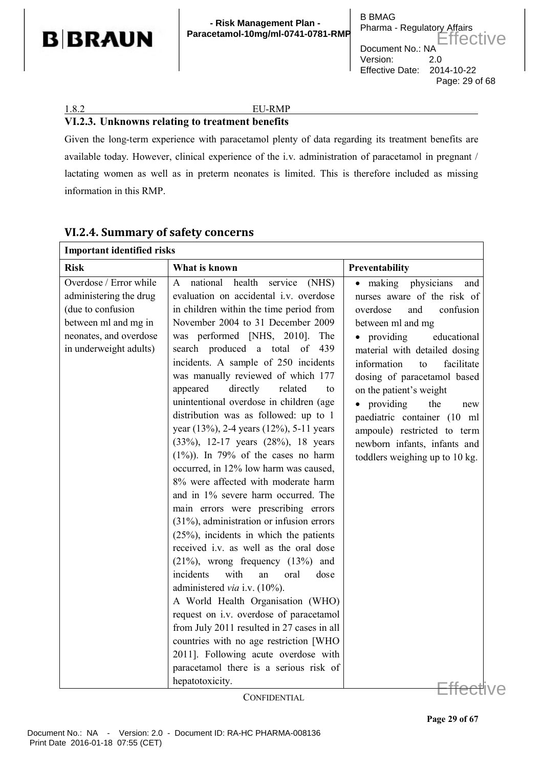

**- Risk Management Plan - Paracetamol-10mg/ml-0741-0781-RMP**

## 1.8.2 EU-RMP

## **VI.2.3. Unknowns relating to treatment benefits**

Given the long-term experience with paracetamol plenty of data regarding its treatment benefits are available today. However, clinical experience of the i.v. administration of paracetamol in pregnant / lactating women as well as in preterm neonates is limited. This is therefore included as missing information in this RMP.

| <b>Important identified risks</b>                                                                                                                 |                                                                                                                                                                                                                                                                                                                                                                                                                                                                                                                                                                                                                                                                                                                                                                                                                                                                                                                                                                                                                                                                                                                                                                                                                                                                                             |                                                                                                                                                                                                                                                                                                                                                                                                                                                    |  |  |  |
|---------------------------------------------------------------------------------------------------------------------------------------------------|---------------------------------------------------------------------------------------------------------------------------------------------------------------------------------------------------------------------------------------------------------------------------------------------------------------------------------------------------------------------------------------------------------------------------------------------------------------------------------------------------------------------------------------------------------------------------------------------------------------------------------------------------------------------------------------------------------------------------------------------------------------------------------------------------------------------------------------------------------------------------------------------------------------------------------------------------------------------------------------------------------------------------------------------------------------------------------------------------------------------------------------------------------------------------------------------------------------------------------------------------------------------------------------------|----------------------------------------------------------------------------------------------------------------------------------------------------------------------------------------------------------------------------------------------------------------------------------------------------------------------------------------------------------------------------------------------------------------------------------------------------|--|--|--|
| <b>Risk</b>                                                                                                                                       | What is known                                                                                                                                                                                                                                                                                                                                                                                                                                                                                                                                                                                                                                                                                                                                                                                                                                                                                                                                                                                                                                                                                                                                                                                                                                                                               | Preventability                                                                                                                                                                                                                                                                                                                                                                                                                                     |  |  |  |
| Overdose / Error while<br>administering the drug<br>(due to confusion<br>between ml and mg in<br>neonates, and overdose<br>in underweight adults) | health<br>national<br>service<br>(NHS)<br>A<br>evaluation on accidental i.v. overdose<br>in children within the time period from<br>November 2004 to 31 December 2009<br>was performed [NHS, 2010].<br>The<br>search produced a total of 439<br>incidents. A sample of 250 incidents<br>was manually reviewed of which 177<br>directly<br>appeared<br>related<br>to<br>unintentional overdose in children (age<br>distribution was as followed: up to 1<br>year (13%), 2-4 years (12%), 5-11 years<br>(33%), 12-17 years (28%), 18 years<br>$(1\%)$ ). In 79% of the cases no harm<br>occurred, in 12% low harm was caused,<br>8% were affected with moderate harm<br>and in 1% severe harm occurred. The<br>main errors were prescribing errors<br>$(31\%)$ , administration or infusion errors<br>$(25\%)$ , incidents in which the patients<br>received i.v. as well as the oral dose<br>$(21\%)$ , wrong frequency $(13\%)$ and<br>incidents<br>with<br>an<br>oral<br>dose<br>administered via i.v. (10%).<br>A World Health Organisation (WHO)<br>request on i.v. overdose of paracetamol<br>from July 2011 resulted in 27 cases in all<br>countries with no age restriction [WHO<br>2011]. Following acute overdose with<br>paracetamol there is a serious risk of<br>hepatotoxicity. | $\bullet$ making<br>physicians<br>and<br>nurses aware of the risk of<br>confusion<br>overdose<br>and<br>between ml and mg<br>• providing<br>educational<br>material with detailed dosing<br>information<br>facilitate<br>to<br>dosing of paracetamol based<br>on the patient's weight<br>• providing<br>the<br>new<br>paediatric container (10 ml<br>ampoule) restricted to term<br>newborn infants, infants and<br>toddlers weighing up to 10 kg. |  |  |  |
|                                                                                                                                                   | $\alpha$ month $m \cdot r$                                                                                                                                                                                                                                                                                                                                                                                                                                                                                                                                                                                                                                                                                                                                                                                                                                                                                                                                                                                                                                                                                                                                                                                                                                                                  |                                                                                                                                                                                                                                                                                                                                                                                                                                                    |  |  |  |

# **VI.2.4. Summary of safety concerns**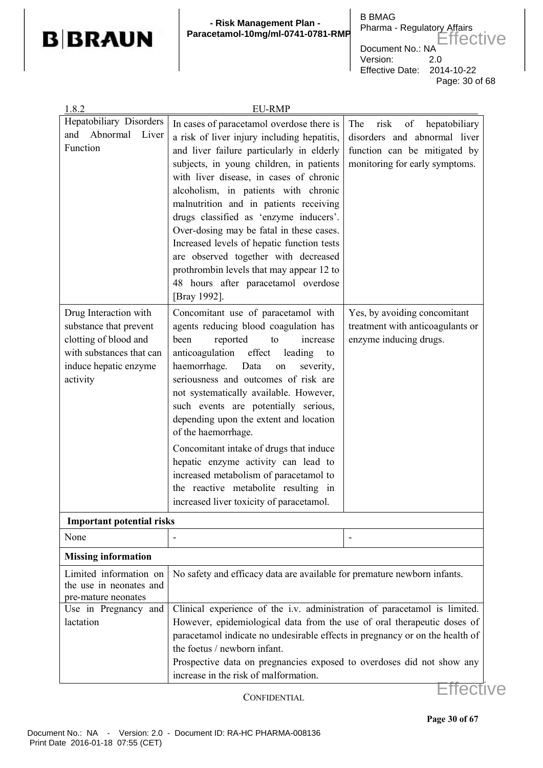

#### **- Risk Management Plan - Paracetamol-10mg/ml-0741-0781-RMP**

B BMAG Pharma - Regulatory Affairs Document No.: NA Version: 2.0 Effective Date: 2014-10-22 Page: 30 of 68 Effective

| 1.8.2                            | <b>EU-RMP</b>                                                                                                |                                    |  |  |  |
|----------------------------------|--------------------------------------------------------------------------------------------------------------|------------------------------------|--|--|--|
| Hepatobiliary Disorders          | In cases of paracetamol overdose there is                                                                    | of<br>hepatobiliary<br>The<br>risk |  |  |  |
| Abnormal<br>and<br>Liver         | a risk of liver injury including hepatitis,                                                                  | disorders and abnormal liver       |  |  |  |
| Function                         | and liver failure particularly in elderly                                                                    | function can be mitigated by       |  |  |  |
|                                  | subjects, in young children, in patients                                                                     | monitoring for early symptoms.     |  |  |  |
|                                  | with liver disease, in cases of chronic                                                                      |                                    |  |  |  |
|                                  | alcoholism, in patients with chronic                                                                         |                                    |  |  |  |
|                                  | malnutrition and in patients receiving                                                                       |                                    |  |  |  |
|                                  | drugs classified as 'enzyme inducers'.                                                                       |                                    |  |  |  |
|                                  | Over-dosing may be fatal in these cases.                                                                     |                                    |  |  |  |
|                                  | Increased levels of hepatic function tests                                                                   |                                    |  |  |  |
|                                  | are observed together with decreased                                                                         |                                    |  |  |  |
|                                  | prothrombin levels that may appear 12 to                                                                     |                                    |  |  |  |
|                                  | 48 hours after paracetamol overdose                                                                          |                                    |  |  |  |
|                                  | [Bray 1992].                                                                                                 |                                    |  |  |  |
| Drug Interaction with            | Concomitant use of paracetamol with                                                                          | Yes, by avoiding concomitant       |  |  |  |
| substance that prevent           | agents reducing blood coagulation has                                                                        | treatment with anticoagulants or   |  |  |  |
| clotting of blood and            | reported<br>been<br>to<br>increase                                                                           | enzyme inducing drugs.             |  |  |  |
| with substances that can         | effect<br>anticoagulation<br>leading<br>to                                                                   |                                    |  |  |  |
| induce hepatic enzyme            | haemorrhage.<br>Data<br>severity,<br>on                                                                      |                                    |  |  |  |
| activity                         | seriousness and outcomes of risk are                                                                         |                                    |  |  |  |
|                                  | not systematically available. However,                                                                       |                                    |  |  |  |
|                                  | such events are potentially serious,                                                                         |                                    |  |  |  |
|                                  | depending upon the extent and location                                                                       |                                    |  |  |  |
|                                  | of the haemorrhage.                                                                                          |                                    |  |  |  |
|                                  | Concomitant intake of drugs that induce                                                                      |                                    |  |  |  |
|                                  | hepatic enzyme activity can lead to                                                                          |                                    |  |  |  |
|                                  | increased metabolism of paracetamol to                                                                       |                                    |  |  |  |
|                                  | the reactive metabolite resulting in                                                                         |                                    |  |  |  |
|                                  | increased liver toxicity of paracetamol.                                                                     |                                    |  |  |  |
| <b>Important potential risks</b> |                                                                                                              |                                    |  |  |  |
| None                             |                                                                                                              |                                    |  |  |  |
| <b>Missing information</b>       |                                                                                                              |                                    |  |  |  |
| Limited information on           | No safety and efficacy data are available for premature newborn infants.                                     |                                    |  |  |  |
| the use in neonates and          |                                                                                                              |                                    |  |  |  |
| pre-mature neonates              |                                                                                                              |                                    |  |  |  |
| Use in Pregnancy and             | Clinical experience of the i.v. administration of paracetamol is limited.                                    |                                    |  |  |  |
| lactation                        | However, epidemiological data from the use of oral therapeutic doses of                                      |                                    |  |  |  |
|                                  | paracetamol indicate no undesirable effects in pregnancy or on the health of<br>the foetus / newborn infant. |                                    |  |  |  |
|                                  | Prospective data on pregnancies exposed to overdoses did not show any                                        |                                    |  |  |  |
|                                  | increase in the risk of malformation.                                                                        |                                    |  |  |  |
|                                  |                                                                                                              |                                    |  |  |  |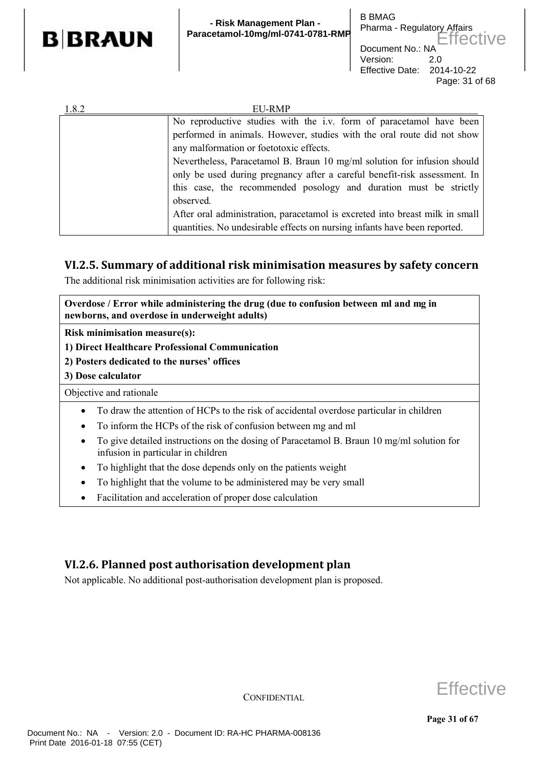

| 1.8.2 | EU-RMP                                                                                                                                                                                                                                  |  |  |  |
|-------|-----------------------------------------------------------------------------------------------------------------------------------------------------------------------------------------------------------------------------------------|--|--|--|
|       | No reproductive studies with the i.v. form of paracetamol have been                                                                                                                                                                     |  |  |  |
|       | performed in animals. However, studies with the oral route did not show<br>any malformation or foetotoxic effects.                                                                                                                      |  |  |  |
|       |                                                                                                                                                                                                                                         |  |  |  |
|       | Nevertheless, Paracetamol B. Braun 10 mg/ml solution for infusion should<br>only be used during pregnancy after a careful benefit-risk assessment. In<br>this case, the recommended posology and duration must be strictly<br>observed. |  |  |  |
|       |                                                                                                                                                                                                                                         |  |  |  |
|       |                                                                                                                                                                                                                                         |  |  |  |
|       |                                                                                                                                                                                                                                         |  |  |  |
|       | After oral administration, paracetamol is excreted into breast milk in small                                                                                                                                                            |  |  |  |
|       | quantities. No undesirable effects on nursing infants have been reported.                                                                                                                                                               |  |  |  |

# **VI.2.5. Summary of additional risk minimisation measures by safety concern**

The additional risk minimisation activities are for following risk:

**Overdose / Error while administering the drug (due to confusion between ml and mg in newborns, and overdose in underweight adults)**

**Risk minimisation measure(s):** 

**1) Direct Healthcare Professional Communication**

- **2) Posters dedicated to the nurses' offices**
- **3) Dose calculator**

Objective and rationale

- To draw the attention of HCPs to the risk of accidental overdose particular in children
- To inform the HCPs of the risk of confusion between mg and ml
- To give detailed instructions on the dosing of Paracetamol B. Braun 10 mg/ml solution for infusion in particular in children
- To highlight that the dose depends only on the patients weight
- To highlight that the volume to be administered may be very small
- Facilitation and acceleration of proper dose calculation

# **VI.2.6. Planned post authorisation development plan**

Not applicable. No additional post-authorisation development plan is proposed.